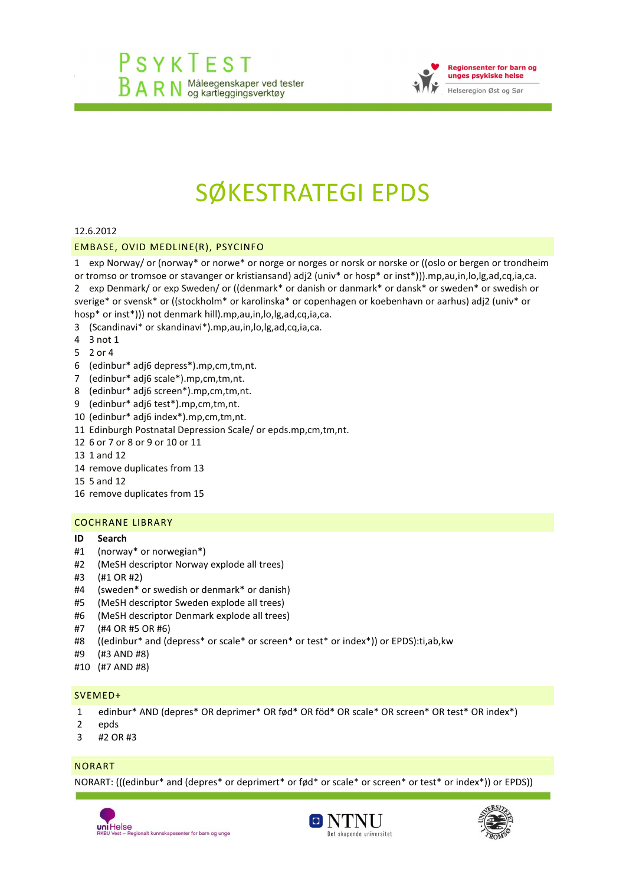

# SØKESTRATEGI EPDS

## 12.6.2012

## EMBASE, OVID MEDLINE(R), PSYCINFO

1 exp Norway/ or (norway\* or norwe\* or norge or norges or norsk or norske or ((oslo or bergen or trondheim

or tromso or tromsoe or stavanger or kristiansand) adj2 (univ\* or hosp\* or inst\*))).mp,au,in,lo,lg,ad,cq,ia,ca. 2 exp Denmark/ or exp Sweden/ or ((denmark\* or danish or danmark\* or dansk\* or sweden\* or swedish or

sverige\* or svensk\* or ((stockholm\* or karolinska\* or copenhagen or koebenhavn or aarhus) adj2 (univ\* or hosp\* or inst\*))) not denmark hill).mp,au,in,lo,lg,ad,cq,ia,ca.

- 3 (Scandinavi\* or skandinavi\*).mp,au,in,lo,lg,ad,cq,ia,ca.
- 4 3 not 1
- 5 2 or 4
- 6 (edinbur\* adj6 depress\*).mp,cm,tm,nt.
- 7 (edinbur\* adj6 scale\*).mp,cm,tm,nt.
- 8 (edinbur\* adj6 screen\*).mp,cm,tm,nt.
- 9 (edinbur\* adj6 test\*).mp,cm,tm,nt.
- 10 (edinbur\* adj6 index\*).mp,cm,tm,nt.
- 11 Edinburgh Postnatal Depression Scale/ or epds.mp,cm,tm,nt.
- 12 6 or 7 or 8 or 9 or10 or 11
- 13 1 and 12
- 14 remove duplicates from 13
- 15 5 and 12
- 16 remove duplicates from 15

## COCHRANE LIBRARY

#### **ID Search**

- #1 (norway\* or norwegian\*)
- #2 (MeSH descriptor Norway explode all trees)
- #3 (#1 OR #2)
- #4 (sweden\* or swedish or denmark\* or danish)
- #5 (MeSH descriptor Sweden explode all trees)
- #6 (MeSH descriptor Denmark explode all trees)
- #7 (#4 OR #5 OR #6)
- #8 ((edinbur\* and (depress\* or scale\* or screen\* or test\* or index\*)) or EPDS):ti,ab,kw
- #9 (#3 AND #8)
- #10 (#7 AND #8)

#### SVEMED+

- 1 edinbur\* AND (depres\* OR deprimer\* OR fød\* OR föd\* OR scale\* OR screen\* OR test\* OR index\*)
- 2 epds
- 3 #2 OR #3

## NORART

NORART: (((edinbur\* and (depres\* or deprimert\* or fød\* or scale\* or screen\* or test\* or index\*)) or EPDS))